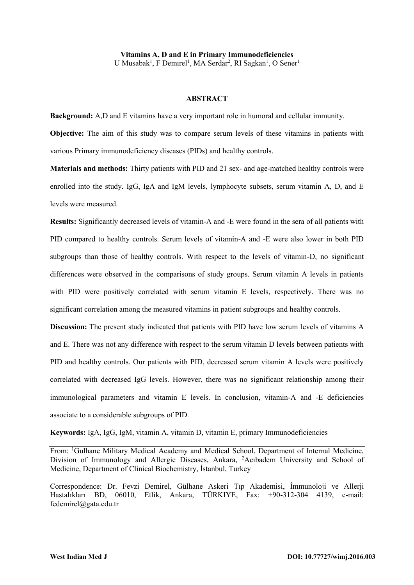**Vitamins A, D and E in Primary Immunodeficiencies** U Musabak<sup>1</sup>, F Demirel<sup>1</sup>, MA Serdar<sup>2</sup>, RI Sagkan<sup>1</sup>, O Sener<sup>1</sup>

#### **ABSTRACT**

**Background:** A,D and E vitamins have a very important role in humoral and cellular immunity. **Objective:** The aim of this study was to compare serum levels of these vitamins in patients with

various Primary immunodeficiency diseases (PIDs) and healthy controls.

**Materials and methods:** Thirty patients with PID and 21 sex- and age-matched healthy controls were enrolled into the study. IgG, IgA and IgM levels, lymphocyte subsets, serum vitamin A, D, and E levels were measured.

**Results:** Significantly decreased levels of vitamin-A and -E were found in the sera of all patients with PID compared to healthy controls. Serum levels of vitamin-A and -E were also lower in both PID subgroups than those of healthy controls. With respect to the levels of vitamin-D, no significant differences were observed in the comparisons of study groups. Serum vitamin A levels in patients with PID were positively correlated with serum vitamin E levels, respectively. There was no significant correlation among the measured vitamins in patient subgroups and healthy controls.

**Discussion:** The present study indicated that patients with PID have low serum levels of vitamins A and E. There was not any difference with respect to the serum vitamin D levels between patients with PID and healthy controls. Our patients with PID, decreased serum vitamin A levels were positively correlated with decreased IgG levels. However, there was no significant relationship among their immunological parameters and vitamin E levels. In conclusion, vitamin-A and -E deficiencies associate to a considerable subgroups of PID.

**Keywords:** IgA, IgG, IgM, vitamin A, vitamin D, vitamin E, primary Immunodeficiencies

From: <sup>1</sup>Gulhane Military Medical Academy and Medical School, Department of Internal Medicine, Division of Immunology and Allergic Diseases, Ankara, <sup>2</sup>Acıbadem University and School of Medicine, Department of Clinical Biochemistry, İstanbul, Turkey

Correspondence: Dr. Fevzi Demirel, Gülhane Askeri Tıp Akademisi, İmmunoloji ve Allerji Hastalıkları BD, 06010, Etlik, Ankara, TÜRKIYE, Fax: +90-312-304 4139, e-mail: [fedemirel@gata.edu.tr](mailto:fedemirel@gata.edu.tr)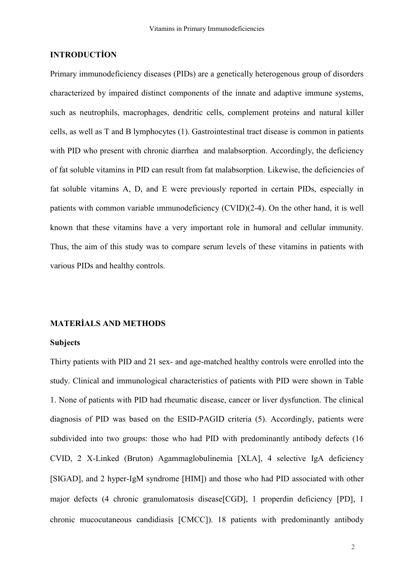# **INTRODUCTİON**

Primary immunodeficiency diseases (PIDs) are a genetically heterogenous group of disorders characterized by impaired distinct components of the innate and adaptive immune systems, such as neutrophils, macrophages, dendritic cells, complement proteins and natural killer cells, as well as T and B lymphocytes (1). Gastrointestinal tract disease is common in patients with PID who present with chronic diarrhea and malabsorption. Accordingly, the deficiency of fat soluble vitamins in PID can result from fat malabsorption. Likewise, the deficiencies of fat soluble vitamins A, D, and E were previously reported in certain PIDs, especially in patients with common variable ımmunodeficiency (CVID)(2-4). On the other hand, it is well known that these vitamins have a very important role in humoral and cellular immunity. Thus, the aim of this study was to compare serum levels of these vitamins in patients with various PIDs and healthy controls.

## **MATERİALS AND METHODS**

#### **Subjects**

Thirty patients with PID and 21 sex- and age-matched healthy controls were enrolled into the study. Clinical and immunological characteristics of patients with PID were shown in Table 1. None of patients with PID had rheumatic disease, cancer or liver dysfunction. The clinical diagnosis of PID was based on the ESID-PAGID criteria (5). Accordingly, patients were subdivided into two groups: those who had PID with predominantly antibody defects (16 CVID, 2 X-Linked (Bruton) Agammaglobulinemia XLA, 4 selective IgA deficiency [SIGAD], and 2 hyper-IgM syndrome [HIM]) and those who had PID associated with other major defects (4 chronic granulomatosis disease[CGD], 1 properdin deficiency [PD], 1 chronic mucocutaneous candidiasis CMCC). 18 patients with predominantly antibody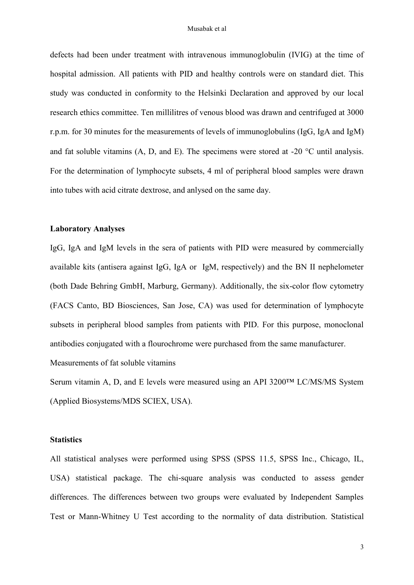defects had been under treatment with intravenous immunoglobulin (IVIG) at the time of hospital admission. All patients with PID and healthy controls were on standard diet. This study was conducted in conformity to the Helsinki Declaration and approved by our local research ethics committee. Ten millilitres of venous blood was drawn and centrifuged at 3000 r.p.m. for 30 minutes for the measurements of levels of immunoglobulins (IgG, IgA and IgM) and fat soluble vitamins  $(A, D, and E)$ . The specimens were stored at -20  $\degree$ C until analysis. For the determination of lymphocyte subsets, 4 ml of peripheral blood samples were drawn into tubes with acid citrate dextrose, and anlysed on the same day.

## **Laboratory Analyses**

IgG, IgA and IgM levels in the sera of patients with PID were measured by commercially available kits (antisera against IgG, IgA or IgM, respectively) and the BN II nephelometer (both Dade Behring GmbH, Marburg, Germany). Additionally, the six-color flow cytometry (FACS Canto, BD Biosciences, San Jose, CA) was used for determination of lymphocyte subsets in peripheral blood samples from patients with PID. For this purpose, monoclonal antibodies conjugated with a flourochrome were purchased from the same manufacturer.

Measurements of fat soluble vitamins

Serum vitamin A, D, and E levels were measured using an API 3200™ LC/MS/MS System (Applied Biosystems/MDS SCIEX, USA).

### **Statistics**

All statistical analyses were performed using SPSS (SPSS 11.5, SPSS Inc., Chicago, IL, USA) statistical package. The chi-square analysis was conducted to assess gender differences. The differences between two groups were evaluated by Independent Samples Test or Mann-Whitney U Test according to the normality of data distribution. Statistical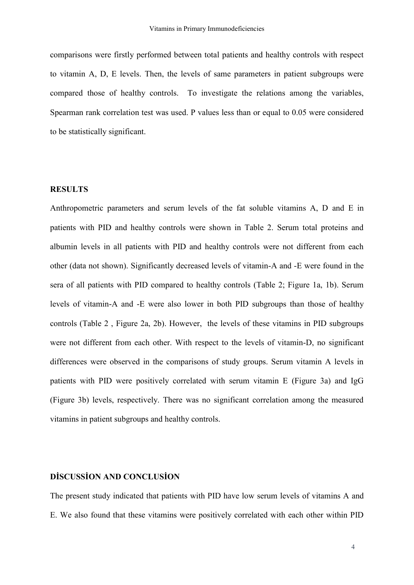comparisons were firstly performed between total patients and healthy controls with respect to vitamin A, D, E levels. Then, the levels of same parameters in patient subgroups were compared those of healthy controls. To investigate the relations among the variables, Spearman rank correlation test was used. P values less than or equal to 0.05 were considered to be statistically significant.

## **RESULTS**

Anthropometric parameters and serum levels of the fat soluble vitamins A, D and E in patients with PID and healthy controls were shown in Table 2. Serum total proteins and albumin levels in all patients with PID and healthy controls were not different from each other (data not shown). Significantly decreased levels of vitamin-A and -E were found in the sera of all patients with PID compared to healthy controls (Table 2; Figure 1a, 1b). Serum levels of vitamin-A and -E were also lower in both PID subgroups than those of healthy controls (Table 2 , Figure 2a, 2b). However, the levels of these vitamins in PID subgroups were not different from each other. With respect to the levels of vitamin-D, no significant differences were observed in the comparisons of study groups. Serum vitamin A levels in patients with PID were positively correlated with serum vitamin E (Figure 3a) and IgG (Figure 3b) levels, respectively. There was no significant correlation among the measured vitamins in patient subgroups and healthy controls.

# **DİSCUSSİON AND CONCLUSİON**

The present study indicated that patients with PID have low serum levels of vitamins A and E. We also found that these vitamins were positively correlated with each other within PID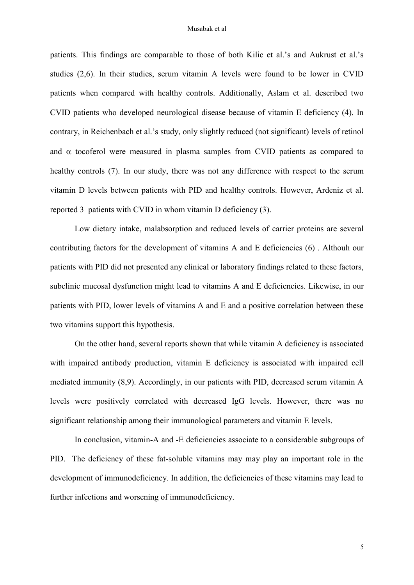patients. This findings are comparable to those of both Kilic et al.'s and Aukrust et al.'s studies (2,6). In their studies, serum vitamin A levels were found to be lower in CVID patients when compared with healthy controls. Additionally, Aslam et al. described two CVID patients who developed neurological disease because of vitamin E deficiency (4). In contrary, in Reichenbach et al.'s study, only slightly reduced (not significant) levels of retinol and  $\alpha$  tocoferol were measured in plasma samples from CVID patients as compared to healthy controls (7). In our study, there was not any difference with respect to the serum vitamin D levels between patients with PID and healthy controls. However, Ardeniz et al. reported 3 patients with CVID in whom vitamin D deficiency (3).

Low dietary intake, malabsorption and reduced levels of carrier proteins are several contributing factors for the development of vitamins A and E deficiencies (6) . Althouh our patients with PID did not presented any clinical or laboratory findings related to these factors, subclinic mucosal dysfunction might lead to vitamins A and E deficiencies. Likewise, in our patients with PID, lower levels of vitamins A and E and a positive correlation between these two vitamins support this hypothesis.

On the other hand, several reports shown that while vitamin A deficiency is associated with impaired antibody production, vitamin E deficiency is associated with impaired cell mediated immunity (8,9). Accordingly, in our patients with PID, decreased serum vitamin A levels were positively correlated with decreased IgG levels. However, there was no significant relationship among their immunological parameters and vitamin E levels.

In conclusion, vitamin-A and -E deficiencies associate to a considerable subgroups of PID. The deficiency of these fat-soluble vitamins may may play an important role in the development of immunodeficiency. In addition, the deficiencies of these vitamins may lead to further infections and worsening of immunodeficiency.

5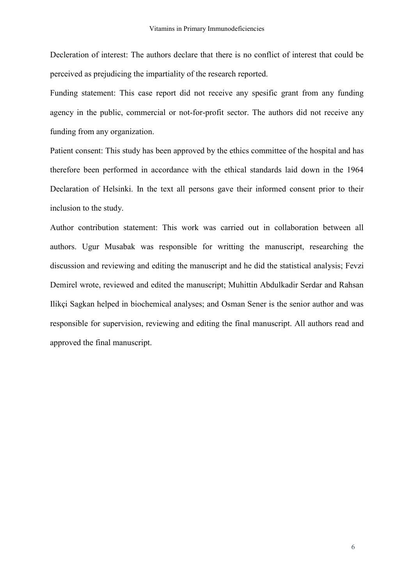Decleration of interest: The authors declare that there is no conflict of interest that could be perceived as prejudicing the impartiality of the research reported.

Funding statement: This case report did not receive any spesific grant from any funding agency in the public, commercial or not-for-profit sector. The authors did not receive any funding from any organization.

Patient consent: This study has been approved by the ethics committee of the hospital and has therefore been performed in accordance with the ethical standards laid down in the 1964 Declaration of Helsinki. In the text all persons gave their informed consent prior to their inclusion to the study.

Author contribution statement: This work was carried out in collaboration between all authors. Ugur Musabak was responsible for writting the manuscript, researching the discussion and reviewing and editing the manuscript and he did the statistical analysis; Fevzi Demirel wrote, reviewed and edited the manuscript; Muhittin Abdulkadir Serdar and Rahsan Ilikçi Sagkan helped in biochemical analyses; and Osman Sener is the senior author and was responsible for supervision, reviewing and editing the final manuscript. All authors read and approved the final manuscript.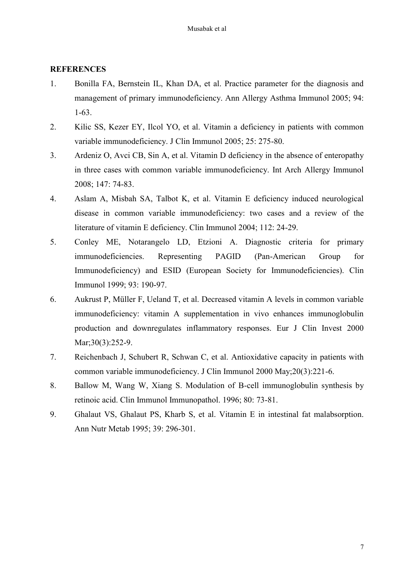### **REFERENCES**

- 1. Bonilla FA, Bernstein IL, Khan DA, et al. Practice parameter for the diagnosis and management of primary immunodeficiency. Ann Allergy Asthma Immunol 2005; 94: 1-63.
- 2. Kilic SS, Kezer EY, Ilcol YO, et al. Vitamin a deficiency in patients with common variable immunodeficiency. J Clin Immunol 2005; 25: 275-80.
- 3. Ardeniz O, Avci CB, Sin A, et al. Vitamin D deficiency in the absence of enteropathy in three cases with common variable immunodeficiency. Int Arch Allergy Immunol 2008; 147: 74-83.
- 4. Aslam A, Misbah SA, Talbot K, et al. Vitamin E deficiency induced neurological disease in common variable immunodeficiency: two cases and a review of the literature of vitamin E deficiency. Clin Immunol 2004; 112: 24-29.
- 5. Conley ME, Notarangelo LD, Etzioni A. Diagnostic criteria for primary immunodeficiencies. Representing PAGID (Pan-American Group for Immunodeficiency) and ESID (European Society for Immunodeficiencies). Clin Immunol 1999; 93: 190-97.
- 6. Aukrust P, Müller F, Ueland T, et al. Decreased vitamin A levels in common variable immunodeficiency: vitamin A supplementation in vivo enhances immunoglobulin production and downregulates inflammatory responses. Eur J Clin Invest 2000 Mar; 30(3): 252-9.
- 7. Reichenbach J, Schubert R, Schwan C, et al. Antioxidative capacity in patients with common variable immunodeficiency. J Clin Immunol 2000 May;20(3):221-6.
- 8. Ballow M, Wang W, Xiang S. Modulation of B-cell immunoglobulin synthesis by retinoic acid. Clin Immunol Immunopathol. 1996; 80: 73-81.
- 9. Ghalaut VS, Ghalaut PS, Kharb S, et al. Vitamin E in intestinal fat malabsorption. Ann Nutr Metab 1995; 39: 296-301.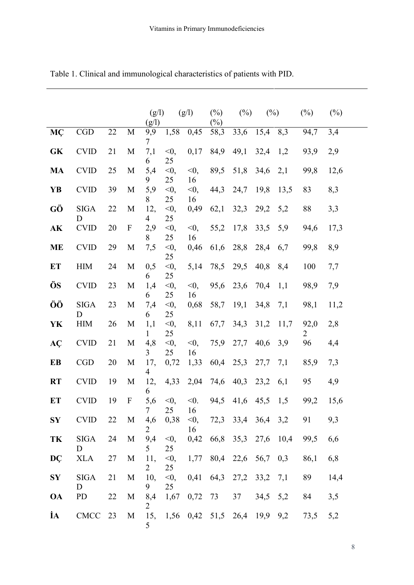|            |                  |        |                  | (g/l)<br>(g/l)        |                    | (g/l)            | $(\%)$<br>$(\%)$      | (%)            | (%)  |      | $(\%)$    | $(\%)$ |
|------------|------------------|--------|------------------|-----------------------|--------------------|------------------|-----------------------|----------------|------|------|-----------|--------|
| MÇ         | CGD              | $22\,$ | $\mathbf M$      | 9,9<br>7              | 1,58               | 0,45             | 58,3                  | 33,6           | 15,4 | 8,3  | 94,7      | 3,4    |
| GK         | <b>CVID</b>      | 21     | M                | 7,1<br>6              | $<$ 0,<br>25       | 0,17             | 84,9                  | 49,1           | 32,4 | 1,2  | 93,9      | 2,9    |
| <b>MA</b>  | <b>CVID</b>      | 25     | M                | 5,4<br>9              | $<$ 0,<br>25       | $\leq 0$ ,<br>16 | 89,5                  | 51,8           | 34,6 | 2,1  | 99,8      | 12,6   |
| <b>YB</b>  | <b>CVID</b>      | 39     | M                | 5,9                   | $<$ 0,             | $<$ 0,           | 44,3                  | 24,7           | 19,8 | 13,5 | 83        | 8,3    |
| GÖ         | <b>SIGA</b><br>D | 22     | M                | 8<br>12,<br>4         | 25<br>$<$ 0,<br>25 | 16<br>0,49       | 62,1                  | 32,3           | 29,2 | 5,2  | 88        | 3,3    |
| AK         | <b>CVID</b>      | 20     | $\boldsymbol{F}$ | 2,9<br>8              | $<$ 0,<br>25       | $<$ 0,<br>16     | 55,2                  | 17,8           | 33,5 | 5,9  | 94,6      | 17,3   |
| <b>ME</b>  | <b>CVID</b>      | 29     | M                | 7,5                   | $<$ 0,<br>25       | 0,46             | 61,6                  | 28,8           | 28,4 | 6,7  | 99,8      | 8,9    |
| ET         | <b>HIM</b>       | 24     | M                | 0,5<br>6              | $<$ 0,<br>25       | 5,14             | 78,5                  | 29,5           | 40,8 | 8,4  | 100       | 7,7    |
| ÖS         | <b>CVID</b>      | 23     | M                | 1,4<br>6              | $<$ 0,<br>25       | $\leq 0$ ,<br>16 | 95,6                  | 23,6           | 70,4 | 1,1  | 98,9      | 7,9    |
| ÖÖ         | <b>SIGA</b><br>D | 23     | M                | 7,4<br>6              | $<$ 0,<br>25       | 0,68             | 58,7                  | 19,1           | 34,8 | 7,1  | 98,1      | 11,2   |
| YK         | <b>HIM</b>       | 26     | M                | 1,1<br>1              | $<$ 0,<br>25       | 8,11             | 67,7                  | 34,3           | 31,2 | 11,7 | 92,0<br>2 | 2,8    |
| AÇ         | <b>CVID</b>      | 21     | M                | 4,8<br>3              | $<$ 0,<br>25       | $<$ 0,<br>16     | 75,9                  | 27,7           | 40,6 | 3,9  | 96        | 4,4    |
| EB         | <b>CGD</b>       | 20     | M                | 17,<br>$\overline{4}$ | 0,72               | 1,33             | 60,4                  | 25,3           | 27,7 | 7,1  | 85,9      | 7,3    |
| <b>RT</b>  | <b>CVID</b>      | 19     | M                | 12,<br>6              | 4,33               | 2,04             | 74,6                  | 40,3           | 23,2 | 6,1  | 95        | 4,9    |
| ET         | <b>CVID</b>      | 19     | $\boldsymbol{F}$ | 5,6<br>7 <sup>7</sup> | $<$ 0,<br>25       | $< 0$ .<br>16    | 94,5                  | 41,6           | 45,5 | 1,5  | 99,2      | 15,6   |
| SY         | <b>CVID</b>      | 22     | M                | 4,6<br>2              | 0,38               | $<$ 0,<br>16     |                       | 72,3 33,4 36,4 |      | 3,2  | 91        | 9,3    |
| TK         | <b>SIGA</b><br>D | 24     | M                | 9,4<br>5              | $<$ 0,<br>25       | 0,42             |                       | 66,8 35,3      | 27,6 | 10,4 | 99,5      | 6,6    |
| DÇ         | <b>XLA</b>       | 27     | M                | 11,<br>2              | $<$ 0,<br>25       | 1,77             | 80,4 22,6             |                | 56,7 | 0,3  | 86,1      | 6,8    |
| ${\bf SY}$ | <b>SIGA</b><br>D | 21     | M                | 10,<br>9              | $<$ 0,<br>25       | 0,41             | 64,3                  | 27,2           | 33,2 | 7,1  | 89        | 14,4   |
| <b>OA</b>  | PD               | 22     | M                | 8,4<br>2              | 1,67               | 0,72             | 73                    | 37             | 34,5 | 5,2  | 84        | 3,5    |
| İА         | CMCC 23          |        | M                | 15,<br>5              |                    |                  | $1,56$ 0,42 51,5 26,4 |                | 19,9 | 9,2  | 73,5      | 5,2    |

Table 1. Clinical and immunological characteristics of patients with PID.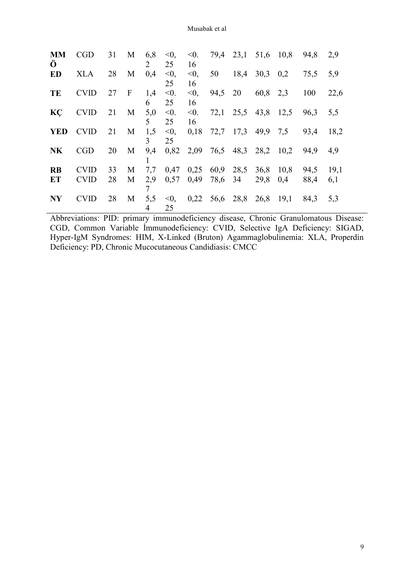| <b>MM</b><br>Ô | <b>CGD</b>  | 31 | M            | 6,8<br>2            | $\leq 0$ ,<br>25 | $<$ 0.<br>16     | 79,4             | 23,1 | 51,6 10,8           |      | 94,8 | 2,9  |
|----------------|-------------|----|--------------|---------------------|------------------|------------------|------------------|------|---------------------|------|------|------|
| ED             | <b>XLA</b>  | 28 | M            | 0,4                 | $< 0$ ,<br>25    | $< 0$ ,<br>16    | 50               | 18,4 | $30,3$ 0.2          |      | 75,5 | 5,9  |
| TE             | <b>CVID</b> | 27 | $\mathbf{F}$ | 1,4<br>6            | < 0.<br>25       | $\leq 0$ ,<br>16 | 94,5 20          |      | 60,8 2,3            |      | 100  | 22,6 |
| KÇ             | <b>CVID</b> | 21 | $\mathbf M$  | 5,0<br>5            | $< 0$ .<br>25    | $<$ 0.<br>16     |                  |      | 72,1 25,5 43,8 12,5 |      | 96,3 | 5,5  |
| <b>YED</b>     | <b>CVID</b> | 21 | M            | 1,5<br>$\mathbf{3}$ | $< 0$ ,<br>25    | 0,18             |                  |      | 72,7 17,3 49,9 7,5  |      | 93,4 | 18,2 |
| <b>NK</b>      | <b>CGD</b>  | 20 | M            | 9,4                 | 0,82             | 2,09             |                  |      | 76,5 48,3 28,2 10,2 |      | 94.9 | 4.9  |
| <b>RB</b>      | <b>CVID</b> | 33 | M            | 7,7                 | 0,47             | 0,25             | 60,9             | 28,5 | 36,8                | 10,8 | 94,5 | 19,1 |
| ET             | <b>CVID</b> | 28 | M            | 2,9<br>7            | 0,57             | 0,49             | 78,6             | 34   | 29,8                | 0,4  | 88,4 | 6,1  |
| <b>NY</b>      | <b>CVID</b> | 28 | M            | 5,5<br>4            | $\leq 0$<br>25   |                  | $0,22$ 56,6 28,8 |      | 26,8 19,1           |      | 84,3 | 5,3  |

Abbreviations: PID: primary immunodeficiency disease, Chronic Granulomatous Disease: CGD, Common Variable İmmunodeficiency: CVID, Selective IgA Deficiency: SIGAD, Hyper-IgM Syndromes: HIM, X-Linked (Bruton) Agammaglobulinemia: XLA, Properdin Deficiency: PD, Chronic Mucocutaneous Candidiasis: CMCC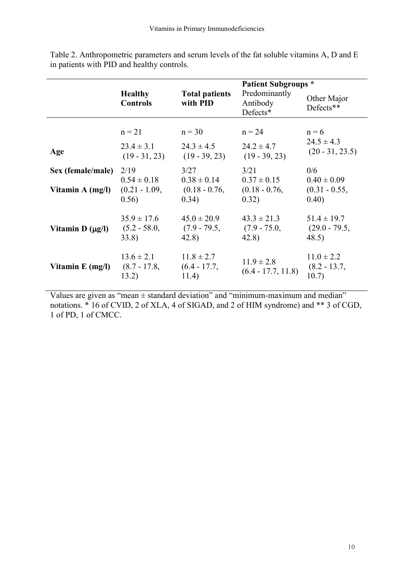|                      |                                             |                                             | <b>Patient Subgroups *</b>                  |                                             |  |  |  |
|----------------------|---------------------------------------------|---------------------------------------------|---------------------------------------------|---------------------------------------------|--|--|--|
|                      | <b>Healthy</b><br><b>Controls</b>           | <b>Total patients</b><br>with PID           | Predominantly<br>Antibody<br>Defects*       | Other Major<br>Defects**                    |  |  |  |
|                      |                                             |                                             |                                             |                                             |  |  |  |
|                      | $n = 21$                                    | $n = 30$                                    | $n = 24$                                    | $n = 6$                                     |  |  |  |
| Age                  | $23.4 \pm 3.1$<br>$(19 - 31, 23)$           | $24.3 \pm 4.5$<br>$(19 - 39, 23)$           | $24.2 \pm 4.7$<br>$(19 - 39, 23)$           | $24.5 \pm 4.3$<br>$(20 - 31, 23.5)$         |  |  |  |
| Sex (female/male)    | 2/19                                        | 3/27                                        | 3/21                                        | 0/6                                         |  |  |  |
| Vitamin A (mg/l)     | $0.54 \pm 0.18$<br>$(0.21 - 1.09,$<br>0.56) | $0.38 \pm 0.14$<br>$(0.18 - 0.76,$<br>0.34) | $0.37 \pm 0.15$<br>$(0.18 - 0.76,$<br>0.32) | $0.40 \pm 0.09$<br>$(0.31 - 0.55,$<br>0.40) |  |  |  |
| Vitamin $D(\mu g/I)$ | $35.9 \pm 17.6$<br>$(5.2 - 58.0,$<br>33.8)  | $45.0 \pm 20.9$<br>$(7.9 - 79.5,$<br>42.8)  | $43.3 \pm 21.3$<br>$(7.9 - 75.0,$<br>42.8)  | $51.4 \pm 19.7$<br>$(29.0 - 79.5,$<br>48.5) |  |  |  |
| Vitamin $E$ (mg/l)   | $13.6 \pm 2.1$<br>$(8.7 - 17.8,$<br>13.2)   | $11.8 \pm 2.7$<br>$(6.4 - 17.7,$<br>11.4)   | $11.9 \pm 2.8$<br>$(6.4 - 17.7, 11.8)$      | $11.0 \pm 2.2$<br>$(8.2 - 13.7,$<br>10.7)   |  |  |  |

Table 2. Anthropometric parameters and serum levels of the fat soluble vitamins A, D and E in patients with PID and healthy controls.

Values are given as "mean  $\pm$  standard deviation" and "minimum-maximum and median" notations. \* 16 of CVID, 2 of XLA, 4 of SIGAD, and 2 of HIM syndrome) and \*\* 3 of CGD, 1 of PD, 1 of CMCC.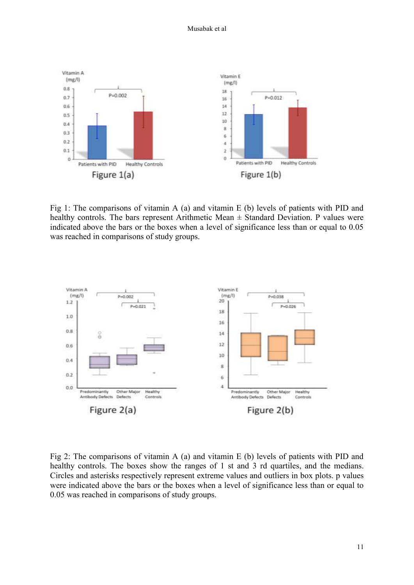

Fig 1: The comparisons of vitamin A (a) and vitamin E (b) levels of patients with PID and healthy controls. The bars represent Arithmetic Mean  $\pm$  Standard Deviation. P values were indicated above the bars or the boxes when a level of significance less than or equal to 0.05 was reached in comparisons of study groups.



Fig 2: The comparisons of vitamin A (a) and vitamin E (b) levels of patients with PID and healthy controls. The boxes show the ranges of 1 st and 3 rd quartiles, and the medians. Circles and asterisks respectively represent extreme values and outliers in box plots. p values were indicated above the bars or the boxes when a level of significance less than or equal to 0.05 was reached in comparisons of study groups.